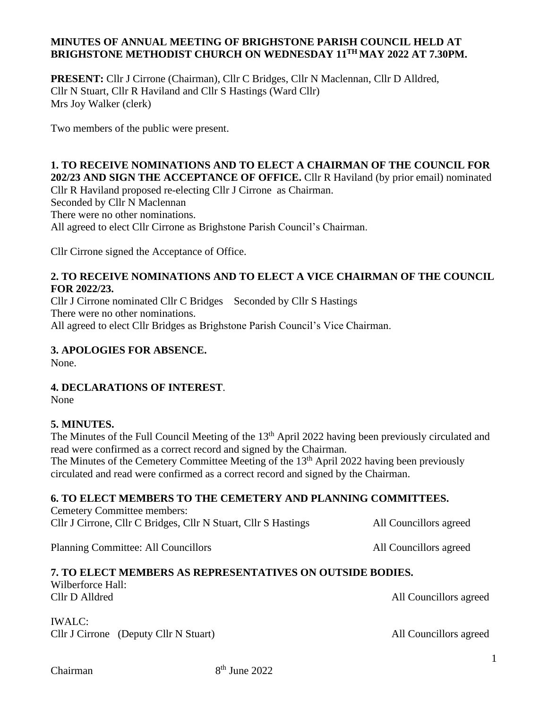### **MINUTES OF ANNUAL MEETING OF BRIGHSTONE PARISH COUNCIL HELD AT BRIGHSTONE METHODIST CHURCH ON WEDNESDAY 11 TH MAY 2022 AT 7.30PM.**

**PRESENT:** Cllr J Cirrone (Chairman), Cllr C Bridges, Cllr N Maclennan, Cllr D Alldred, Cllr N Stuart, Cllr R Haviland and Cllr S Hastings (Ward Cllr) Mrs Joy Walker (clerk)

Two members of the public were present.

#### **1. TO RECEIVE NOMINATIONS AND TO ELECT A CHAIRMAN OF THE COUNCIL FOR 202/23 AND SIGN THE ACCEPTANCE OF OFFICE.** Cllr R Haviland (by prior email) nominated

Cllr R Haviland proposed re-electing Cllr J Cirrone as Chairman. Seconded by Cllr N Maclennan There were no other nominations. All agreed to elect Cllr Cirrone as Brighstone Parish Council's Chairman.

Cllr Cirrone signed the Acceptance of Office.

#### **2. TO RECEIVE NOMINATIONS AND TO ELECT A VICE CHAIRMAN OF THE COUNCIL FOR 2022/23.**

Cllr J Cirrone nominated Cllr C Bridges Seconded by Cllr S Hastings There were no other nominations. All agreed to elect Cllr Bridges as Brighstone Parish Council's Vice Chairman.

#### **3. APOLOGIES FOR ABSENCE.**

None.

#### **4. DECLARATIONS OF INTEREST**.

None

#### **5. MINUTES.**

The Minutes of the Full Council Meeting of the 13<sup>th</sup> April 2022 having been previously circulated and read were confirmed as a correct record and signed by the Chairman.

The Minutes of the Cemetery Committee Meeting of the 13<sup>th</sup> April 2022 having been previously circulated and read were confirmed as a correct record and signed by the Chairman.

#### **6. TO ELECT MEMBERS TO THE CEMETERY AND PLANNING COMMITTEES.**

| Cemetery Committee members:                                    |                        |
|----------------------------------------------------------------|------------------------|
| Cllr J Cirrone, Cllr C Bridges, Cllr N Stuart, Cllr S Hastings | All Councillors agreed |

Planning Committee: All Councillors **All Councillors All Councillors All Councillors All Council** 

# **7. TO ELECT MEMBERS AS REPRESENTATIVES ON OUTSIDE BODIES.**

Wilberforce Hall:

Cllr D Alldred All Councillors agreed

IWALC: Cllr J Cirrone (Deputy Cllr N Stuart) All Councillors agreed

Chairman

 $8<sup>th</sup>$  June 2022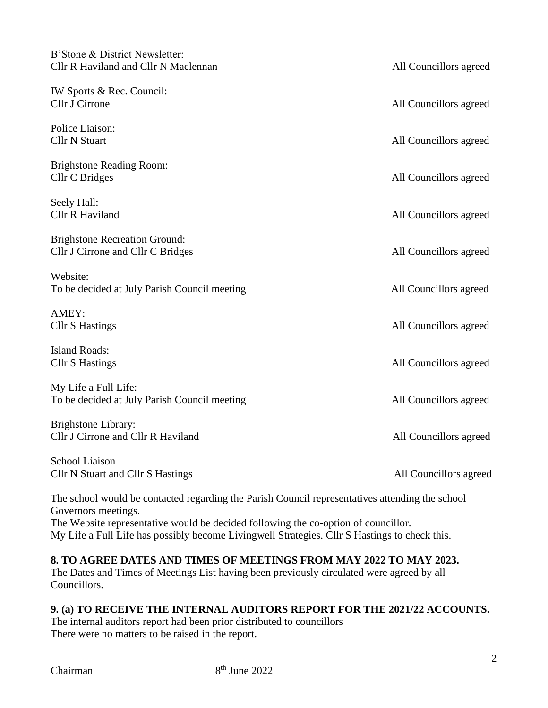| B'Stone & District Newsletter:<br>Cllr R Haviland and Cllr N Maclennan                                                                                                            | All Councillors agreed |  |  |
|-----------------------------------------------------------------------------------------------------------------------------------------------------------------------------------|------------------------|--|--|
| IW Sports & Rec. Council:<br>Cllr J Cirrone                                                                                                                                       | All Councillors agreed |  |  |
| Police Liaison:<br><b>Cllr N Stuart</b>                                                                                                                                           | All Councillors agreed |  |  |
| <b>Brighstone Reading Room:</b><br>Cllr C Bridges                                                                                                                                 | All Councillors agreed |  |  |
| Seely Hall:<br><b>Cllr R Haviland</b>                                                                                                                                             | All Councillors agreed |  |  |
| <b>Brighstone Recreation Ground:</b><br>Cllr J Cirrone and Cllr C Bridges                                                                                                         | All Councillors agreed |  |  |
| Website:<br>To be decided at July Parish Council meeting                                                                                                                          | All Councillors agreed |  |  |
| AMEY:<br><b>Cllr S Hastings</b>                                                                                                                                                   | All Councillors agreed |  |  |
| <b>Island Roads:</b><br><b>Cllr S Hastings</b>                                                                                                                                    | All Councillors agreed |  |  |
| My Life a Full Life:<br>To be decided at July Parish Council meeting                                                                                                              | All Councillors agreed |  |  |
| Brighstone Library:<br>Cllr J Cirrone and Cllr R Haviland                                                                                                                         | All Councillors agreed |  |  |
| School Liaison<br>Cllr N Stuart and Cllr S Hastings                                                                                                                               | All Councillors agreed |  |  |
| $\overline{\text{m}}$ , and a function of the contract of the state $\overline{\text{n}}$ , which $\overline{\text{C}}$ , and the contraction of the distribution of the state of |                        |  |  |

The school would be contacted regarding the Parish Council representatives attending the school Governors meetings. The Website representative would be decided following the co-option of councillor. My Life a Full Life has possibly become Livingwell Strategies. Cllr S Hastings to check this.

# **8. TO AGREE DATES AND TIMES OF MEETINGS FROM MAY 2022 TO MAY 2023.**

The Dates and Times of Meetings List having been previously circulated were agreed by all Councillors.

# **9. (a) TO RECEIVE THE INTERNAL AUDITORS REPORT FOR THE 2021/22 ACCOUNTS.**

The internal auditors report had been prior distributed to councillors There were no matters to be raised in the report.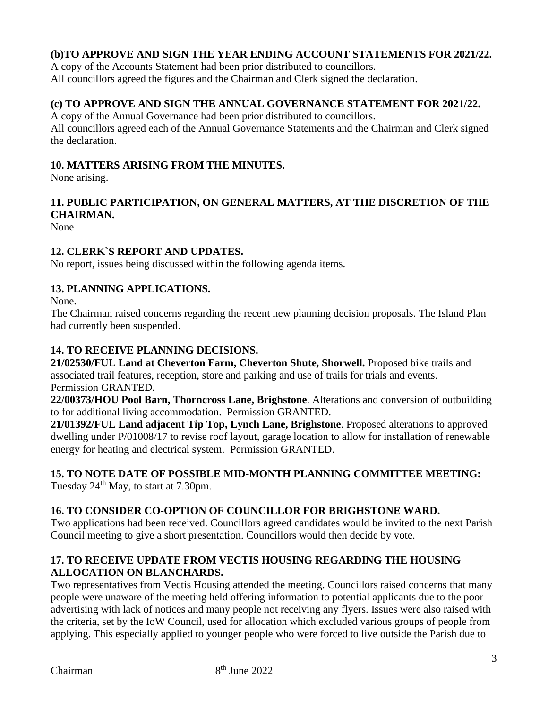# **(b)TO APPROVE AND SIGN THE YEAR ENDING ACCOUNT STATEMENTS FOR 2021/22.**

A copy of the Accounts Statement had been prior distributed to councillors. All councillors agreed the figures and the Chairman and Clerk signed the declaration.

# **(c) TO APPROVE AND SIGN THE ANNUAL GOVERNANCE STATEMENT FOR 2021/22.**

A copy of the Annual Governance had been prior distributed to councillors.

All councillors agreed each of the Annual Governance Statements and the Chairman and Clerk signed the declaration.

# **10. MATTERS ARISING FROM THE MINUTES.**

None arising.

# **11. PUBLIC PARTICIPATION, ON GENERAL MATTERS, AT THE DISCRETION OF THE CHAIRMAN.**

None

# **12. CLERK`S REPORT AND UPDATES.**

No report, issues being discussed within the following agenda items.

# **13. PLANNING APPLICATIONS.**

None.

The Chairman raised concerns regarding the recent new planning decision proposals. The Island Plan had currently been suspended.

#### **14. TO RECEIVE PLANNING DECISIONS.**

**21/02530/FUL Land at Cheverton Farm, Cheverton Shute, Shorwell.** Proposed bike trails and associated trail features, reception, store and parking and use of trails for trials and events. Permission GRANTED.

**22/00373/HOU Pool Barn, Thorncross Lane, Brighstone**. Alterations and conversion of outbuilding to for additional living accommodation. Permission GRANTED.

**21/01392/FUL Land adjacent Tip Top, Lynch Lane, Brighstone**. Proposed alterations to approved dwelling under P/01008/17 to revise roof layout, garage location to allow for installation of renewable energy for heating and electrical system. Permission GRANTED.

# **15. TO NOTE DATE OF POSSIBLE MID-MONTH PLANNING COMMITTEE MEETING:**

Tuesday 24<sup>th</sup> May, to start at 7.30pm.

# **16. TO CONSIDER CO-OPTION OF COUNCILLOR FOR BRIGHSTONE WARD.**

Two applications had been received. Councillors agreed candidates would be invited to the next Parish Council meeting to give a short presentation. Councillors would then decide by vote.

### **17. TO RECEIVE UPDATE FROM VECTIS HOUSING REGARDING THE HOUSING ALLOCATION ON BLANCHARDS.**

Two representatives from Vectis Housing attended the meeting. Councillors raised concerns that many people were unaware of the meeting held offering information to potential applicants due to the poor advertising with lack of notices and many people not receiving any flyers. Issues were also raised with the criteria, set by the IoW Council, used for allocation which excluded various groups of people from applying. This especially applied to younger people who were forced to live outside the Parish due to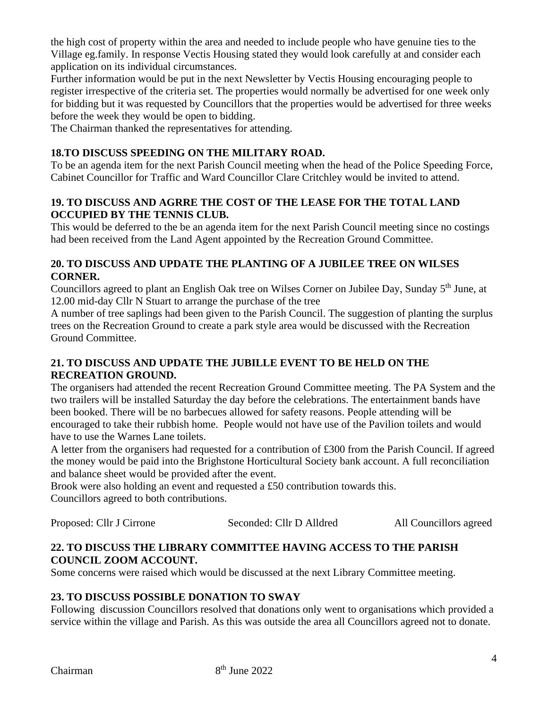the high cost of property within the area and needed to include people who have genuine ties to the Village eg.family. In response Vectis Housing stated they would look carefully at and consider each application on its individual circumstances.

Further information would be put in the next Newsletter by Vectis Housing encouraging people to register irrespective of the criteria set. The properties would normally be advertised for one week only for bidding but it was requested by Councillors that the properties would be advertised for three weeks before the week they would be open to bidding.

The Chairman thanked the representatives for attending.

# **18.TO DISCUSS SPEEDING ON THE MILITARY ROAD.**

To be an agenda item for the next Parish Council meeting when the head of the Police Speeding Force, Cabinet Councillor for Traffic and Ward Councillor Clare Critchley would be invited to attend.

# **19. TO DISCUSS AND AGRRE THE COST OF THE LEASE FOR THE TOTAL LAND OCCUPIED BY THE TENNIS CLUB.**

This would be deferred to the be an agenda item for the next Parish Council meeting since no costings had been received from the Land Agent appointed by the Recreation Ground Committee.

# **20. TO DISCUSS AND UPDATE THE PLANTING OF A JUBILEE TREE ON WILSES CORNER.**

Councillors agreed to plant an English Oak tree on Wilses Corner on Jubilee Day, Sunday 5<sup>th</sup> June, at 12.00 mid-day Cllr N Stuart to arrange the purchase of the tree

A number of tree saplings had been given to the Parish Council. The suggestion of planting the surplus trees on the Recreation Ground to create a park style area would be discussed with the Recreation Ground Committee.

# **21. TO DISCUSS AND UPDATE THE JUBILLE EVENT TO BE HELD ON THE RECREATION GROUND.**

The organisers had attended the recent Recreation Ground Committee meeting. The PA System and the two trailers will be installed Saturday the day before the celebrations. The entertainment bands have been booked. There will be no barbecues allowed for safety reasons. People attending will be encouraged to take their rubbish home. People would not have use of the Pavilion toilets and would have to use the Warnes Lane toilets.

A letter from the organisers had requested for a contribution of £300 from the Parish Council. If agreed the money would be paid into the Brighstone Horticultural Society bank account. A full reconciliation and balance sheet would be provided after the event.

Brook were also holding an event and requested a £50 contribution towards this. Councillors agreed to both contributions.

| Proposed: Cllr J Cirrone | Seconded: Cllr D Alldred | All Councillors agreed |
|--------------------------|--------------------------|------------------------|
|--------------------------|--------------------------|------------------------|

# **22. TO DISCUSS THE LIBRARY COMMITTEE HAVING ACCESS TO THE PARISH COUNCIL ZOOM ACCOUNT.**

Some concerns were raised which would be discussed at the next Library Committee meeting.

# **23. TO DISCUSS POSSIBLE DONATION TO SWAY**

Following discussion Councillors resolved that donations only went to organisations which provided a service within the village and Parish. As this was outside the area all Councillors agreed not to donate.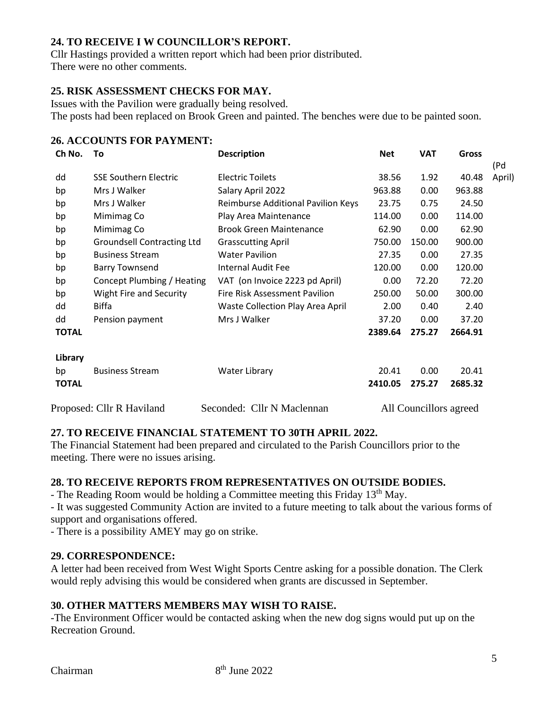# **24. TO RECEIVE I W COUNCILLOR'S REPORT.**

Cllr Hastings provided a written report which had been prior distributed. There were no other comments.

#### **25. RISK ASSESSMENT CHECKS FOR MAY.**

Issues with the Pavilion were gradually being resolved. The posts had been replaced on Brook Green and painted. The benches were due to be painted soon.

### **26. ACCOUNTS FOR PAYMENT:**

| Ch No.       | Τo                                | <b>Description</b>                 | <b>Net</b> | <b>VAT</b>             | <b>Gross</b> |        |
|--------------|-----------------------------------|------------------------------------|------------|------------------------|--------------|--------|
|              |                                   |                                    |            |                        |              | (Pd    |
| dd           | <b>SSE Southern Electric</b>      | <b>Electric Toilets</b>            | 38.56      | 1.92                   | 40.48        | April) |
| bp           | Mrs J Walker                      | Salary April 2022                  | 963.88     | 0.00                   | 963.88       |        |
| bp           | Mrs J Walker                      | Reimburse Additional Pavilion Keys | 23.75      | 0.75                   | 24.50        |        |
| bp           | Mimimag Co                        | Play Area Maintenance              | 114.00     | 0.00                   | 114.00       |        |
| bp           | Mimimag Co                        | <b>Brook Green Maintenance</b>     | 62.90      | 0.00                   | 62.90        |        |
| bp           | <b>Groundsell Contracting Ltd</b> | <b>Grasscutting April</b>          | 750.00     | 150.00                 | 900.00       |        |
| bp           | <b>Business Stream</b>            | <b>Water Pavilion</b>              | 27.35      | 0.00                   | 27.35        |        |
| bp           | <b>Barry Townsend</b>             | <b>Internal Audit Fee</b>          | 120.00     | 0.00                   | 120.00       |        |
| bp           | Concept Plumbing / Heating        | VAT (on Invoice 2223 pd April)     | 0.00       | 72.20                  | 72.20        |        |
| bp           | Wight Fire and Security           | Fire Risk Assessment Pavilion      | 250.00     | 50.00                  | 300.00       |        |
| dd           | <b>Biffa</b>                      | Waste Collection Play Area April   | 2.00       | 0.40                   | 2.40         |        |
| dd           | Pension payment                   | Mrs J Walker                       | 37.20      | 0.00                   | 37.20        |        |
| <b>TOTAL</b> |                                   |                                    | 2389.64    | 275.27                 | 2664.91      |        |
| Library      |                                   |                                    |            |                        |              |        |
| bp           | <b>Business Stream</b>            | <b>Water Library</b>               | 20.41      | 0.00                   | 20.41        |        |
| <b>TOTAL</b> |                                   |                                    | 2410.05    | 275.27                 | 2685.32      |        |
|              | Proposed: Cllr R Haviland         | Seconded: Cllr N Maclennan         |            | All Councillors agreed |              |        |

#### **27. TO RECEIVE FINANCIAL STATEMENT TO 30TH APRIL 2022.**

The Financial Statement had been prepared and circulated to the Parish Councillors prior to the meeting. There were no issues arising.

#### **28. TO RECEIVE REPORTS FROM REPRESENTATIVES ON OUTSIDE BODIES.**

- The Reading Room would be holding a Committee meeting this Friday 13<sup>th</sup> May.

- It was suggested Community Action are invited to a future meeting to talk about the various forms of support and organisations offered.

- There is a possibility AMEY may go on strike.

#### **29. CORRESPONDENCE:**

A letter had been received from West Wight Sports Centre asking for a possible donation. The Clerk would reply advising this would be considered when grants are discussed in September.

#### **30. OTHER MATTERS MEMBERS MAY WISH TO RAISE.**

-The Environment Officer would be contacted asking when the new dog signs would put up on the Recreation Ground.